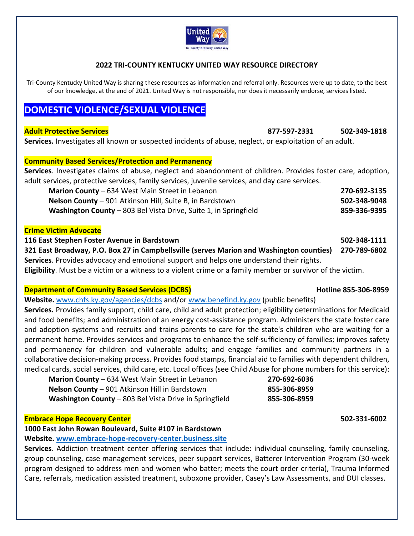

## **2022 TRI‐COUNTY KENTUCKY UNITED WAY RESOURCE DIRECTORY**

Tri-County Kentucky United Way is sharing these resources as information and referral only. Resources were up to date, to the best of our knowledge, at the end of 2021. United Way is not responsible, nor does it necessarily endorse, services listed.

# **DOMESTIC VIOLENCE/SEXUAL VIOLENCE**

**Adult Protective Services 877‐597‐2331 502‐349‐1818** 

**Services.** Investigates all known or suspected incidents of abuse, neglect, or exploitation of an adult.

**Community Based Services/Protection and Permanency** 

**Services**. Investigates claims of abuse, neglect and abandonment of children. Provides foster care, adoption, adult services, protective services, family services, juvenile services, and day care services.

| <b>Marion County</b> – 634 West Main Street in Lebanon           | 270-692-3135 |
|------------------------------------------------------------------|--------------|
| Nelson County - 901 Atkinson Hill, Suite B, in Bardstown         | 502-348-9048 |
| Washington County - 803 Bel Vista Drive, Suite 1, in Springfield | 859-336-9395 |

### **Crime Victim Advocate**

**116 East Stephen Foster Avenue in Bardstown 502‐348‐1111 321 East Broadway, P.O. Box 27 in Campbellsville (serves Marion and Washington counties) 270‐789‐6802 Services**. Provides advocacy and emotional support and helps one understand their rights. **Eligibility**. Must be a victim or a witness to a violent crime or a family member or survivor of the victim.

## **Department of Community Based Services (DCBS) Department of Community Based Services (DCBS)**

**Website.** www.chfs.ky.gov/agencies/dcbs and/or www.benefind.ky.gov (public benefits)

**Services.** Provides family support, child care, child and adult protection; eligibility determinations for Medicaid and food benefits; and administration of an energy cost-assistance program. Administers the state foster care and adoption systems and recruits and trains parents to care for the state's children who are waiting for a permanent home. Provides services and programs to enhance the self‐sufficiency of families; improves safety and permanency for children and vulnerable adults; and engage families and community partners in a collaborative decision‐making process. Provides food stamps, financial aid to families with dependent children, medical cards, social services, child care, etc. Local offices (see Child Abuse for phone numbers for this service):

| Marion County - 634 West Main Street in Lebanon        | 270-692-6036 |
|--------------------------------------------------------|--------------|
| Nelson County - 901 Atkinson Hill in Bardstown         | 855-306-8959 |
| Washington County – 803 Bel Vista Drive in Springfield | 855-306-8959 |

### **Embrace Hope Recovery Center 502‐331‐6002**

**1000 East John Rowan Boulevard, Suite #107 in Bardstown** 

**Website. www.embrace‐hope‐recovery‐center.business.site**

Services. Addiction treatment center offering services that include: individual counseling, family counseling, group counseling, case management services, peer support services, Batterer Intervention Program (30‐week program designed to address men and women who batter; meets the court order criteria), Trauma Informed Care, referrals, medication assisted treatment, suboxone provider, Casey's Law Assessments, and DUI classes.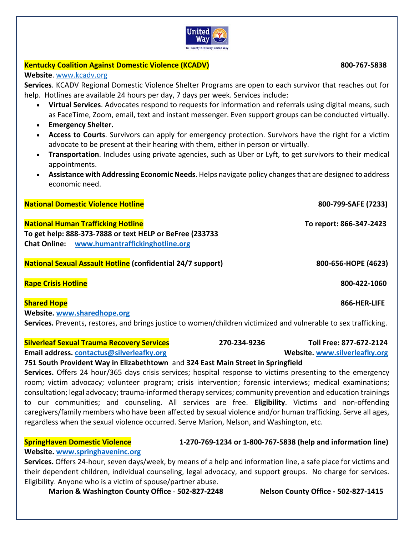# **Kentucky Coalition Against Domestic Violence (KCADV) 800‐767‐5838**

**Website**. www.kcadv.org

**Services**. KCADV Regional Domestic Violence Shelter Programs are open to each survivor that reaches out for help. Hotlines are available 24 hours per day, 7 days per week. Services include:

- **Virtual Services**. Advocates respond to requests for information and referrals using digital means, such as FaceTime, Zoom, email, text and instant messenger. Even support groups can be conducted virtually.
- **Emergency Shelter.**
- **Access to Courts**. Survivors can apply for emergency protection. Survivors have the right for a victim advocate to be present at their hearing with them, either in person or virtually.
- **Transportation**. Includes using private agencies, such as Uber or Lyft, to get survivors to their medical appointments.
- **Assistance with Addressing Economic Needs**. Helps navigate policy changes that are designed to address economic need.

**National Domestic Violence Hotline 800‐799‐SAFE (7233)** 

**National Human Trafficking Hotline To report: 866‐347‐2423 To get help: 888‐373‐7888 or text HELP or BeFree (233733 Chat Online: www.humantraffickinghotline.org**

**National Sexual Assault Hotline (confidential 24/7 support) 800‐656‐HOPE (4623)**

**Rape Crisis Hotline 800‐422‐1060**

# **Shared Hope 866‐HER‐LIFE**

**Website. www.sharedhope.org Services.** Prevents, restores, and brings justice to women/children victimized and vulnerable to sex trafficking.

**Silverleaf Sexual Trauma Recovery Services 270‐234‐9236 Toll Free: 877‐672‐2124** 

**Email address. contactus@silverleafky.org Website. www.silverleafky.org**

## **751 South Provident Way in Elizabethtown** and **324 East Main Street in Springfield**

**Services.** Offers 24 hour/365 days crisis services; hospital response to victims presenting to the emergency room; victim advocacy; volunteer program; crisis intervention; forensic interviews; medical examinations; consultation; legal advocacy; trauma‐informed therapy services; community prevention and education trainings to our communities; and counseling. All services are free. **Eligibility**. Victims and non‐offending caregivers/family members who have been affected by sexual violence and/or human trafficking. Serve all ages, regardless when the sexual violence occurred. Serve Marion, Nelson, and Washington, etc.

**SpringHaven Domestic Violence 1‐270‐769‐1234 or 1‐800‐767‐5838 (help and information line)**

**Website. www.springhaveninc.org**

**Services.** Offers 24‐hour, seven days/week, by means of a help and information line, a safe place for victims and their dependent children, individual counseling, legal advocacy, and support groups. No charge for services. Eligibility. Anyone who is a victim of spouse/partner abuse.

**Marion & Washington County Office** ‐ **502‐827‐2248 Nelson County Office ‐ 502‐827‐1415**